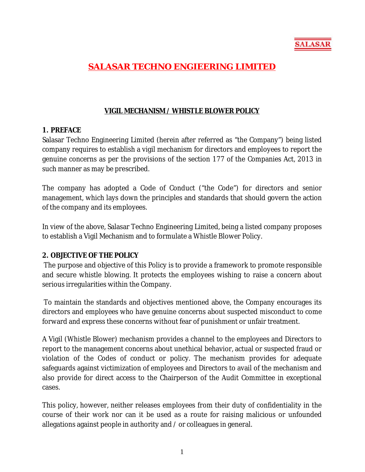

# **SALASAR TECHNO ENGIEERING LIMITED**

## **VIGIL MECHANISM / WHISTLE BLOWER POLICY**

#### **1. PREFACE**

Salasar Techno Engineering Limited (herein after referred as "the Company") being listed company requires to establish a vigil mechanism for directors and employees to report the genuine concerns as per the provisions of the section 177 of the Companies Act, 2013 in such manner as may be prescribed.

The company has adopted a Code of Conduct ("the Code") for directors and senior management, which lays down the principles and standards that should govern the action of the company and its employees.

In view of the above, Salasar Techno Engineering Limited, being a listed company proposes to establish a Vigil Mechanism and to formulate a Whistle Blower Policy.

#### **2. OBJECTIVE OF THE POLICY**

The purpose and objective of this Policy is to provide a framework to promote responsible and secure whistle blowing. It protects the employees wishing to raise a concern about serious irregularities within the Company.

To maintain the standards and objectives mentioned above, the Company encourages its directors and employees who have genuine concerns about suspected misconduct to come forward and express these concerns without fear of punishment or unfair treatment.

A Vigil (Whistle Blower) mechanism provides a channel to the employees and Directors to report to the management concerns about unethical behavior, actual or suspected fraud or violation of the Codes of conduct or policy. The mechanism provides for adequate safeguards against victimization of employees and Directors to avail of the mechanism and also provide for direct access to the Chairperson of the Audit Committee in exceptional cases.

This policy, however, neither releases employees from their duty of confidentiality in the course of their work nor can it be used as a route for raising malicious or unfounded allegations against people in authority and / or colleagues in general.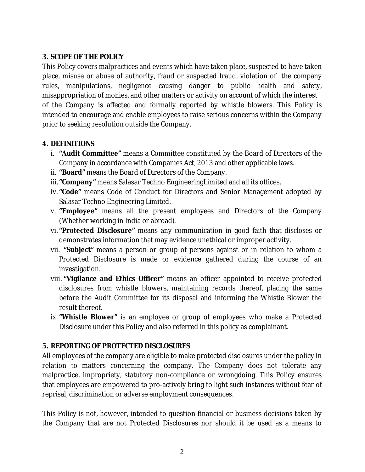## **3. SCOPE OF THE POLICY**

This Policy covers malpractices and events which have taken place, suspected to have taken place, misuse or abuse of authority, fraud or suspected fraud, violation of the company rules, manipulations, negligence causing danger to public health and safety, misappropriation of monies, and other matters or activity on account of which the interest of the Company is affected and formally reported by whistle blowers. This Policy is intended to encourage and enable employees to raise serious concerns within the Company prior to seeking resolution outside the Company.

#### **4. DEFINITIONS**

- i. **"Audit Committee"** means a Committee constituted by the Board of Directors of the Company in accordance with Companies Act, 2013 and other applicable laws.
- ii. **"Board"** means the Board of Directors of the Company.
- iii.**"Company"** means Salasar Techno EngineeringLimited and all its offices.
- iv.**"Code"** means Code of Conduct for Directors and Senior Management adopted by Salasar Techno Engineering Limited.
- v. **"Employee"** means all the present employees and Directors of the Company (Whether working in India or abroad).
- vi.**"Protected Disclosure"** means any communication in good faith that discloses or demonstrates information that may evidence unethical or improper activity.
- vii. **"Subject"** means a person or group of persons against or in relation to whom a Protected Disclosure is made or evidence gathered during the course of an investigation.
- viii. **"Vigilance and Ethics Officer"** means an officer appointed to receive protected disclosures from whistle blowers, maintaining records thereof, placing the same before the Audit Committee for its disposal and informing the Whistle Blower the result thereof.
- ix. **"Whistle Blower"** is an employee or group of employees who make a Protected Disclosure under this Policy and also referred in this policy as complainant.

## **5. REPORTING OF PROTECTED DISCLOSURES**

All employees of the company are eligible to make protected disclosures under the policy in relation to matters concerning the company. The Company does not tolerate any malpractice, impropriety, statutory non-compliance or wrongdoing. This Policy ensures that employees are empowered to pro-actively bring to light such instances without fear of reprisal, discrimination or adverse employment consequences.

This Policy is not, however, intended to question financial or business decisions taken by the Company that are not Protected Disclosures nor should it be used as a means to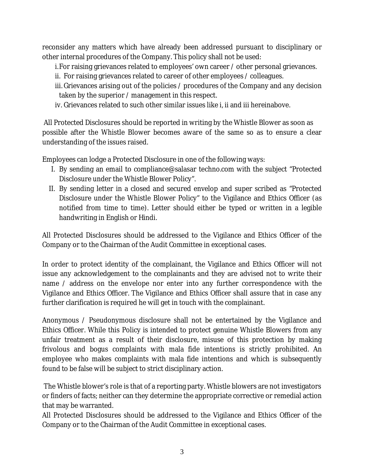reconsider any matters which have already been addressed pursuant to disciplinary or other internal procedures of the Company. This policy shall not be used:

i.For raising grievances related to employees' own career / other personal grievances.

ii. For raising grievances related to career of other employees / colleagues.

iii. Grievances arising out of the policies / procedures of the Company and any decision taken by the superior / management in this respect.

iv. Grievances related to such other similar issues like i, ii and iii hereinabove.

All Protected Disclosures should be reported in writing by the Whistle Blower as soon as possible after the Whistle Blower becomes aware of the same so as to ensure a clear understanding of the issues raised.

Employees can lodge a Protected Disclosure in one of the following ways:

- I. By sending an email to compliance@salasar techno.com with the subject "Protected Disclosure under the Whistle Blower Policy".
- II. By sending letter in a closed and secured envelop and super scribed as "Protected Disclosure under the Whistle Blower Policy" to the Vigilance and Ethics Officer (as notified from time to time). Letter should either be typed or written in a legible handwriting in English or Hindi.

All Protected Disclosures should be addressed to the Vigilance and Ethics Officer of the Company or to the Chairman of the Audit Committee in exceptional cases.

In order to protect identity of the complainant, the Vigilance and Ethics Officer will not issue any acknowledgement to the complainants and they are advised not to write their name / address on the envelope nor enter into any further correspondence with the Vigilance and Ethics Officer. The Vigilance and Ethics Officer shall assure that in case any further clarification is required he will get in touch with the complainant.

Anonymous / Pseudonymous disclosure shall not be entertained by the Vigilance and Ethics Officer. While this Policy is intended to protect genuine Whistle Blowers from any unfair treatment as a result of their disclosure, misuse of this protection by making frivolous and bogus complaints with mala fide intentions is strictly prohibited. An employee who makes complaints with mala fide intentions and which is subsequently found to be false will be subject to strict disciplinary action.

The Whistle blower's role is that of a reporting party. Whistle blowers are not investigators or finders of facts; neither can they determine the appropriate corrective or remedial action that may be warranted.

All Protected Disclosures should be addressed to the Vigilance and Ethics Officer of the Company or to the Chairman of the Audit Committee in exceptional cases.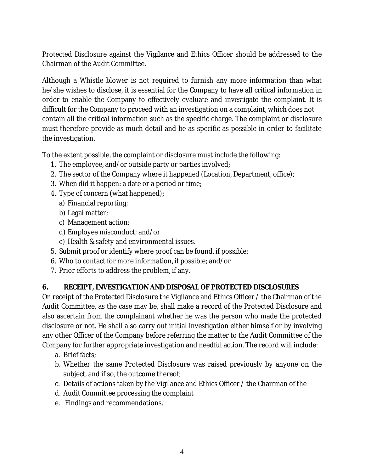Protected Disclosure against the Vigilance and Ethics Officer should be addressed to the Chairman of the Audit Committee.

Although a Whistle blower is not required to furnish any more information than what he/she wishes to disclose, it is essential for the Company to have all critical information in order to enable the Company to effectively evaluate and investigate the complaint. It is difficult for the Company to proceed with an investigation on a complaint, which does not contain all the critical information such as the specific charge. The complaint or disclosure must therefore provide as much detail and be as specific as possible in order to facilitate the investigation.

To the extent possible, the complaint or disclosure must include the following:

- 1. The employee, and/or outside party or parties involved;
- 2. The sector of the Company where it happened (Location, Department, office);
- 3. When did it happen: a date or a period or time;
- 4. Type of concern (what happened);
	- a) Financial reporting;
	- b) Legal matter;
	- c) Management action;
	- d) Employee misconduct; and/or
	- e) Health & safety and environmental issues.
- 5. Submit proof or identify where proof can be found, if possible;
- 6. Who to contact for more information, if possible; and/or
- 7. Prior efforts to address the problem, if any.

## **6. RECEIPT, INVESTIGATION AND DISPOSAL OF PROTECTED DISCLOSURES**

On receipt of the Protected Disclosure the Vigilance and Ethics Officer / the Chairman of the Audit Committee, as the case may be, shall make a record of the Protected Disclosure and also ascertain from the complainant whether he was the person who made the protected disclosure or not. He shall also carry out initial investigation either himself or by involving any other Officer of the Company before referring the matter to the Audit Committee of the Company for further appropriate investigation and needful action. The record will include:

- a. Brief facts;
- b. Whether the same Protected Disclosure was raised previously by anyone on the subject, and if so, the outcome thereof;
- c. Details of actions taken by the Vigilance and Ethics Officer / the Chairman of the
- d. Audit Committee processing the complaint
- e. Findings and recommendations.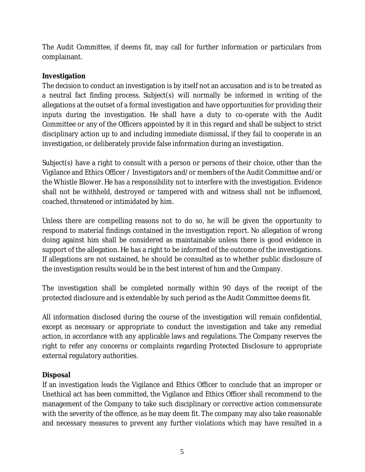The Audit Committee, if deems fit, may call for further information or particulars from complainant.

# **Investigation**

The decision to conduct an investigation is by itself not an accusation and is to be treated as a neutral fact finding process. Subject(s) will normally be informed in writing of the allegations at the outset of a formal investigation and have opportunities for providing their inputs during the investigation. He shall have a duty to co-operate with the Audit Committee or any of the Officers appointed by it in this regard and shall be subject to strict disciplinary action up to and including immediate dismissal, if they fail to cooperate in an investigation, or deliberately provide false information during an investigation.

Subject(s) have a right to consult with a person or persons of their choice, other than the Vigilance and Ethics Officer / Investigators and/or members of the Audit Committee and/or the Whistle Blower. He has a responsibility not to interfere with the investigation. Evidence shall not be withheld, destroyed or tampered with and witness shall not be influenced, coached, threatened or intimidated by him.

Unless there are compelling reasons not to do so, he will be given the opportunity to respond to material findings contained in the investigation report. No allegation of wrong doing against him shall be considered as maintainable unless there is good evidence in support of the allegation. He has a right to be informed of the outcome of the investigations. If allegations are not sustained, he should be consulted as to whether public disclosure of the investigation results would be in the best interest of him and the Company.

The investigation shall be completed normally within 90 days of the receipt of the protected disclosure and is extendable by such period as the Audit Committee deems fit.

All information disclosed during the course of the investigation will remain confidential, except as necessary or appropriate to conduct the investigation and take any remedial action, in accordance with any applicable laws and regulations. The Company reserves the right to refer any concerns or complaints regarding Protected Disclosure to appropriate external regulatory authorities.

## **Disposal**

If an investigation leads the Vigilance and Ethics Officer to conclude that an improper or Unethical act has been committed, the Vigilance and Ethics Officer shall recommend to the management of the Company to take such disciplinary or corrective action commensurate with the severity of the offence, as he may deem fit. The company may also take reasonable and necessary measures to prevent any further violations which may have resulted in a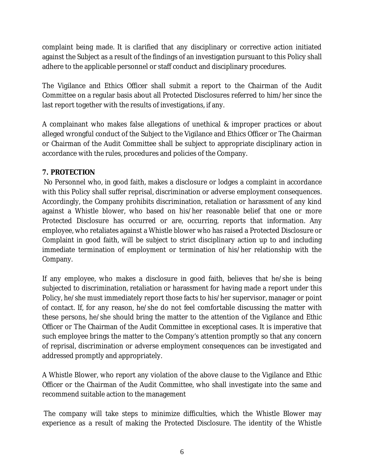complaint being made. It is clarified that any disciplinary or corrective action initiated against the Subject as a result of the findings of an investigation pursuant to this Policy shall adhere to the applicable personnel or staff conduct and disciplinary procedures.

The Vigilance and Ethics Officer shall submit a report to the Chairman of the Audit Committee on a regular basis about all Protected Disclosures referred to him/her since the last report together with the results of investigations, if any.

A complainant who makes false allegations of unethical & improper practices or about alleged wrongful conduct of the Subject to the Vigilance and Ethics Officer or The Chairman or Chairman of the Audit Committee shall be subject to appropriate disciplinary action in accordance with the rules, procedures and policies of the Company.

## **7. PROTECTION**

No Personnel who, in good faith, makes a disclosure or lodges a complaint in accordance with this Policy shall suffer reprisal, discrimination or adverse employment consequences. Accordingly, the Company prohibits discrimination, retaliation or harassment of any kind against a Whistle blower, who based on his/her reasonable belief that one or more Protected Disclosure has occurred or are, occurring, reports that information. Any employee, who retaliates against a Whistle blower who has raised a Protected Disclosure or Complaint in good faith, will be subject to strict disciplinary action up to and including immediate termination of employment or termination of his/her relationship with the Company.

If any employee, who makes a disclosure in good faith, believes that he/she is being subjected to discrimination, retaliation or harassment for having made a report under this Policy, he/she must immediately report those facts to his/her supervisor, manager or point of contact. If, for any reason, he/she do not feel comfortable discussing the matter with these persons, he/she should bring the matter to the attention of the Vigilance and Ethic Officer or The Chairman of the Audit Committee in exceptional cases. It is imperative that such employee brings the matter to the Company's attention promptly so that any concern of reprisal, discrimination or adverse employment consequences can be investigated and addressed promptly and appropriately.

A Whistle Blower, who report any violation of the above clause to the Vigilance and Ethic Officer or the Chairman of the Audit Committee, who shall investigate into the same and recommend suitable action to the management

The company will take steps to minimize difficulties, which the Whistle Blower may experience as a result of making the Protected Disclosure. The identity of the Whistle